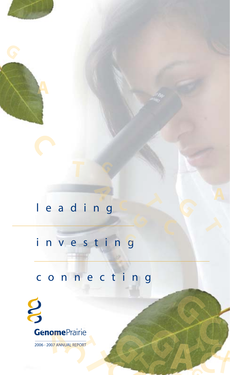# leading

# investing

# connecting



2006 - 2007 ANNUAL REPORT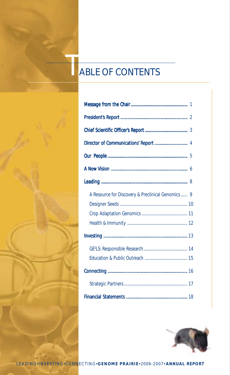# **ABLE OF CONTENTS**

| A Resource for Discovery & Preclinical Genomics  9 |
|----------------------------------------------------|
|                                                    |
|                                                    |
|                                                    |
|                                                    |
|                                                    |
|                                                    |
|                                                    |
|                                                    |
|                                                    |

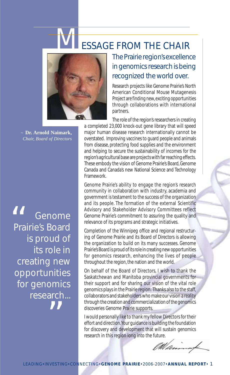# ESSAGE FROM THE CHAIR



*~* **Dr. Arnold Naimark,** *Chair, Board of Directors*

Genome Prairie's Board is proud of its role in creating new opportunities for genomics research...  $^{\prime\prime}$ 66<br>Prairie

The Prairie region's excellence in genomics research is being recognized the world over.

Research projects like Genome Prairie's North American Conditional Mouse Mutagenesis Project are finding new, exciting opportunities through collaborations with international partners.

The role of the region's researchers in creating a completed 23,000 knock-out gene library that will speed major human disease research internationally cannot be overstated. Improving vaccines to guard people and animals from disease, protecting food supplies and the environment and helping to secure the sustainability of incomes for the region's agricultural base are projects with far reaching effects. These embody the vision of Genome Prairie's Board, Genome Canada and Canada's new National Science and Technology Framework.

Genome Prairie's ability to engage the region's research community in collaboration with industry, academia and government is testament to the success of the organization and its people. The formation of the external Scientific Advisory and Stakeholder Advisory Committees reflect Genome Prairie's commitment to assuring the quality and relevance of its programs and strategic initiatives.

Completion of the Winnipeg office and regional restructuring of Genome Prairie and its Board of Directors is allowing the organization to build on its many successes. Genome Prairie's Board is proud of its role in creating new opportunities for genomics research, enhancing the lives of people throughout the region, the nation and the world.

On behalf of the Board of Directors, I wish to thank the Saskatchewan and Manitoba provincial governments for their support and for sharing our vision of the vital role genomics plays in the Prairie region. Thanks also to the staff, collaborators and stakeholders who make our vision a reality through the creation and commercialization of the genomics discoveries Genome Prairie supports.

I would personally like to thank my fellow Directors for their effort and direction. Your guidance is building the foundation for discovery and development that will sustain genomics research in this region long into the future.

't u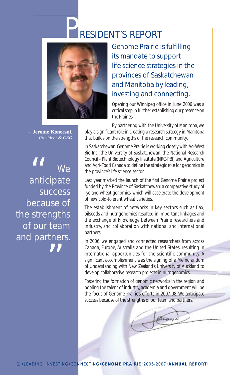# RESIDENT'S REPORT



Genome Prairie is fulfilling its mandate to support life science strategies in the provinces of Saskatchewan and Manitoba by leading, investing and connecting.

Opening our Winnipeg office in June 2006 was a critical step in further establishing our presence on the Prairies.

*~* **Jerome Konecsni,** *President & CEO*

We anticipate success because of the strengths of our team and partners.  $^{\prime\prime}$ 66<br>anticip

By partnering with the University of Manitoba, we play a significant role in creating a research strategy in Manitoba that builds on the strengths of the research community.

In Saskatchewan, Genome Prairie is working closely with Ag-West Bio Inc., the University of Saskatchewan, the National Research Council - Plant Biotechnology Institute (NRC-PBI) and Agriculture and Agri-Food Canada to define the strategic role for genomics in the province's life science sector.

Last year marked the launch of the first Genome Prairie project funded by the Province of Saskatchewan: a comparative study of rye and wheat genomics, which will accelerate the development of new cold-tolerant wheat varieties.

The establishment of networks in key sectors such as flax, oilseeds and nutrigenomics resulted in important linkages and the exchange of knowledge between Prairie researchers and industry, and collaboration with national and international partners.

In 2006, we engaged and connected researchers from across Canada, Europe, Australia and the United States, resulting in international opportunities for the scientific community. A significant accomplishment was the signing of a Memorandum of Understanding with New Zealand's University of Auckland to develop collaborative research projects in nutrigenomics.

Fostering the formation of genomic networks in the region and pooling the talent of industry, academia and government will be the focus of Genome Prairie's efforts in 2007-08. We anticipate success because of the strengths of our team and partners.

Rion.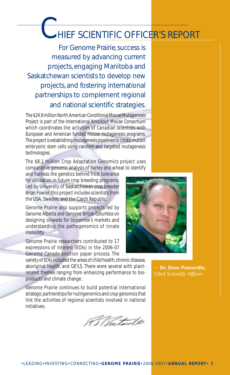# HIEF SCIENTIFIC OFFICER'S REPORT

For Genome Prairie, success is measured by advancing current projects, engaging Manitoba and Saskatchewan scientists to develop new projects, and fostering international partnerships to complement regional and national scientific strategies.

The \$24.9 million North American Conditional Mouse Mutagenesis Project is part of the International Knockout Mouse Consortium which coordinates the activities of Canadian scientists with European and American funded mouse mutagenesis programs. The project is establishing mutagenesis pipelines to create mutant embryonic stem cells using random and targeted mutagenesis technologies.

The \$8.1 million Crop Adaptation Genomics project uses comparative genomic analysis of barley and wheat to identify

and harness the genetics behind frost tolerance for utilization in future crop breeding programs. Led by University of Saskatchewan crop breeder Brian Fowler, this project includes scientists from the USA, Sweden, and the Czech Republic.

Genome Prairie also supports projects led by Genome Alberta and Genome British Columbia on designing oilseeds for tomorrow's markets and understanding the pathogenomics of innate immunity.

Genome Prairie researchers contributed to 17 expressions of interest (EOIs) in the 2006-07 Genome Canada position paper process. The

variety of EOIs included the areas of child health, chronic disease, aboriginal health, and GE<sup>3</sup>LS. There were several with plantrelated themes ranging from enhancing performance to bioproducts and climate change.

Genome Prairie continues to build potential international strategic partnerships for nutrigenomics and crop genomics that link the activities of regional scientists involved in national initiatives.





*~* **Dr. Reno Pontarollo,** *Chief Scientific Officer*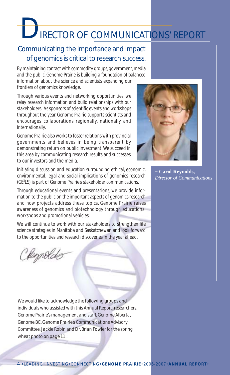# IRECTOR OF COMMUNICATIONS' REPORT

# Communicating the importance and impact of genomics is critical to research success.

By maintaining contact with commodity groups, government, media and the public, Genome Prairie is building a foundation of balanced

information about the science and scientists expanding our frontiers of genomics knowledge.

Through various events and networking opportunities, we relay research information and build relationships with our stakeholders. As sponsors of scientific events and workshops throughout the year, Genome Prairie supports scientists and encourages collaborations regionally, nationally and internationally.

Genome Prairie also works to foster relations with provincial governments and believes in being transparent by demonstrating return on public investment. We succeed in this area by communicating research results and successes to our investors and the media.

Initiating discussion and education surrounding ethical, economic, environmental, legal and social implications of genomics research (GE3 LS) is part of Genome Prairie's stakeholder communications.

Through educational events and presentations, we provide information to the public on the important aspects of genomics research and how projects address these topics. Genome Prairie raises awareness of genomics and biotechnology through educational workshops and promotional vehicles.

We will continue to work with our stakeholders to strengthen life science strategies in Manitoba and Saskatchewan and look forward to the opportunities and research discoveries in the year ahead.

Clemolds

*We would like to acknowledge the following groups and individuals who assisted with this Annual Report: researchers, Genome Prairie's management and staff, Genome Alberta, Genome BC, Genome Prairie's Communications Advisory Committee, Jackie Robin and Dr. Brian Fowler for the spring wheat photo on page 11.*



**~ Carol Reynolds,** *Director of Communications*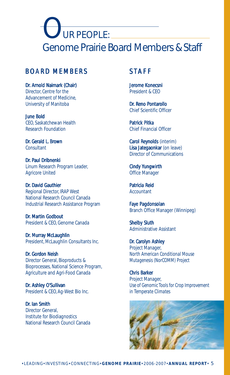UR PEOPLE: Genome Prairie Board Members & Staff

### BOARD MEMBERS

Dr. Arnold Naimark (Chair) Director, Centre for the Advancement of Medicine, University of Manitoba

June Bold CEO, Saskatchewan Health Research Foundation

Dr. Gerald L. Brown Consultant

Dr. Paul Dribnenki Linum Research Program Leader, Agricore United

Dr. David Gauthier Regional Director, IRAP West National Research Council Canada Industrial Research Assistance Program

Dr. Martin Godbout President & CEO, Genome Canada

Dr. Murray McLaughlin President, McLaughlin Consultants Inc.

Dr. Gordon Neish Director General, Bioproducts & Bioprocesses, National Science Program, Agriculture and Agri-Food Canada

Dr. Ashley O'Sullivan President & CEO, Ag-West Bio Inc.

Dr. Ian Smith Director General, Institute for Biodiagnostics National Research Council Canada

# **STAFF**

Jerome Konecsni President & CEO

Dr. Reno Pontarollo Chief Scientific Officer

Patrick Pitka Chief Financial Officer

Carol Reynolds (interim) Lisa Jategaonkar (on leave) Director of Communications

Cindy Yungwirth Office Manager

Patricia Reid **Accountant** 

Faye Pagdonsolan Branch Office Manager (Winnipeg)

Shelby Sluth Administrative Assistant

Dr. Carolyn Ashley Project Manager, *North American Conditional Mouse Mutagenesis (NorCOMM) Project*

Chris Barker Project Manager, *Use of Genomic Tools for Crop Improvement in Temperate Climates*

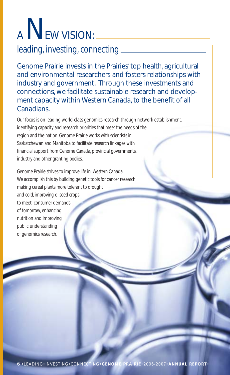# A NEW VISION:

# leading, investing, connecting

Genome Prairie invests in the Prairies' top health, agricultural and environmental researchers and fosters relationships with industry and government. Through these investments and connections, we facilitate sustainable research and development capacity within Western Canada, to the benefit of all Canadians.

Our focus is on leading world-class genomics research through network establishment, identifying capacity and research priorities that meet the needs of the region and the nation. Genome Prairie works with scientists in Saskatchewan and Manitoba to facilitate research linkages with financial support from Genome Canada, provincial governments, industry and other granting bodies.

Genome Prairie strives to improve life in Western Canada. We accomplish this by building genetic tools for cancer research, making cereal plants more tolerant to drought and cold, improving oilseed crops to meet consumer demands of tomorrow, enhancing nutrition and improving public understanding of genomics research.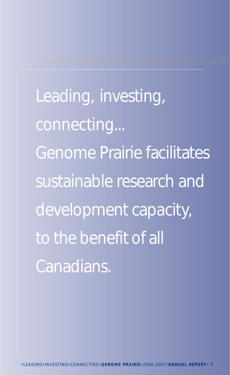Leading, investing, connecting... Genome Prairie facilitates sustainable research and development capacity, to the benefit of all Canadians.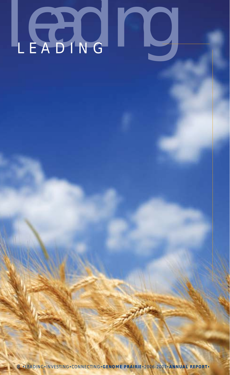# Leading

**\*LEADING\*INVESTING\*CONNECTING\*GENOME PRAIRIE\*2006-2007\*ANNUAL REPORT\***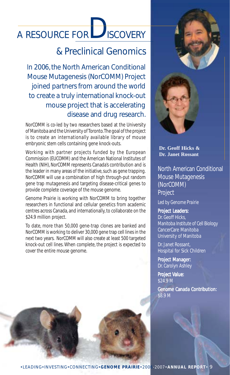# A RESOURCE FOR SCOVERY

# & Preclinical Genomics

In 2006, the North American Conditional Mouse Mutagenesis (NorCOMM) Project joined partners from around the world to create a truly international knock-out mouse project that is accelerating disease and drug research.

NorCOMM is co-led by two researchers based at the University of Manitoba and the University of Toronto. The goal of the project is to create an internationally available library of mouse embryonic stem cells containing gene knock-outs.

Working with partner projects funded by the European Commission (EUCOMM) and the American National Institutes of Health (NIH), NorCOMM represents Canada's contribution and is the leader in many areas of the initiative, such as gene trapping. NorCOMM will use a combination of high through-put random gene trap mutagenesis and targeting disease-critical genes to provide complete coverage of the mouse genome.

Genome Prairie is working with NorCOMM to bring together researchers in functional and cellular genetics from academic centres across Canada, and internationally, to collaborate on the \$24.9 million project.

To date, more than 50,000 gene-trap clones are banked and NorCOMM is working to deliver 30,000 gene trap cell lines in the next two years. NorCOMM will also create at least 500 targeted knock-out cell lines. When complete, the project is expected to cover the entire mouse genome.



**Dr. Geoff Hicks & Dr. Janet Rossant**

North American Conditional Mouse Mutagenesis (NorCOMM) Project

*Led by Genome Prairie*

### Project Leaders: Dr. Geoff Hicks, Manitoba Institute of Cell Biology CancerCare Manitoba University of Manitoba

Dr. Janet Rossant, Hospital for Sick Children

Project Manager: Dr. Carolyn Ashley

Project Value: \$24.9 M

**Genome Canada Contribution:** \$8.9 M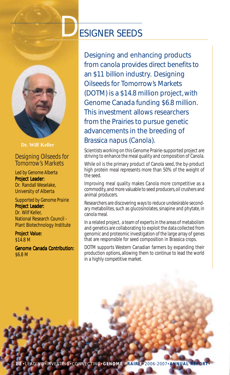



**Dr. Wilf Keller**

### Designing Oilseeds for Tomorrow's Markets

### *Led by Genome Alberta*

Project Leader: Dr. Randall Weselake, University of Alberta

*Supported by Genome Prairie* Project Leader: Dr. Wilf Keller,

National Research Council - Plant Biotechnology Institute

Project Value: \$14.8 M

**Genome Canada Contribution:** \$6.8 M

Designing and enhancing products from canola provides direct benefits to an \$11 billion industry. Designing Oilseeds for Tomorrow's Markets (DOTM) is a \$14.8 million project, with Genome Canada funding \$6.8 million. This investment allows researchers from the Prairies to pursue genetic advancements in the breeding of *Brassica napus* (*Canola*).

Scientists working on this Genome Prairie-supported project are striving to enhance the meal quality and composition of Canola.

While oil is the primary product of Canola seed, the by-product high protein meal represents more than 50% of the weight of the seed.

Improving meal quality makes Canola more competitive as a commodity, and more valuable to seed producers, oil crushers and animal producers.

Researchers are discovering ways to reduce undesirable secondary metabolites, such as glucosinolates, sinapine and phytate, in canola meal.

In a related project, a team of experts in the areas of metabolism and genetics are collaborating to exploit the data collected from genomic and proteomic investigation of the large array of genes that are responsible for seed composition in Brassica crops.

DOTM supports Western Canadian farmers by expanding their production options, allowing them to continue to lead the world in a highly competitive market.

10 !LEADING!INVESTING!CONNECTING!**GENOME PRAIRIE**!2006-2007!**ANNUAL REPORT**!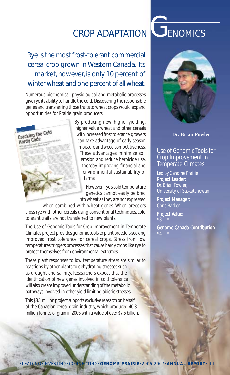# CROP ADAPTATION **GENOMICS**

# Rye is the most frost-tolerant commercial cereal crop grown in Western Canada. Its market, however, is only 10 percent of winter wheat and one percent of all wheat.

Numerous biochemical, physiological and metabolic processes give rye its ability to handle the cold. Discovering the responsible genes and transferring those traits to wheat crops would expand opportunities for Prairie grain producers.



By producing new, higher yielding, higher value wheat and other cereals with increased frost tolerance, growers can take advantage of early season moisture and weed competitiveness. These advantages minimize soil erosion and reduce herbicide use, thereby improving financial and environmental sustainability of farms.

However, rye's cold temperature genetics cannot easily be bred into wheat as they are not expressed

when combined with wheat genes. When breeders cross rye with other cereals using conventional techniques, cold tolerant traits are not transferred to new plants.

The Use of Genomic Tools for Crop Improvement in Temperate Climates project provides genomic tools to plant breeders seeking improved frost tolerance for cereal crops. Stress from low temperatures triggers processes that cause hardy crops like rye to protect themselves from environmental extremes.

These plant responses to low temperature stress are similar to reactions by other plants to dehydrating stresses such as drought and salinity. Researchers expect that the identification of new genes involved in cold tolerance will also create improved understanding of the metabolic pathways involved in other yield limiting abiotic stresses.

This \$8.1 million project supports exclusive research on behalf of the Canadian cereal grain industry, which produced 40.8 million tonnes of grain in 2006 with a value of over \$7.5 billion.



**Dr. Brian Fowler**

### Use of Genomic Tools for Crop Improvement in Temperate Climates

*Led by Genome Prairie* Project Leader: Dr. Brian Fowler, University of Saskatchewan

Project Manager: Chris Barker

Project Value: \$8.1 M

**Genome Canada Contribution:** \$4.1 M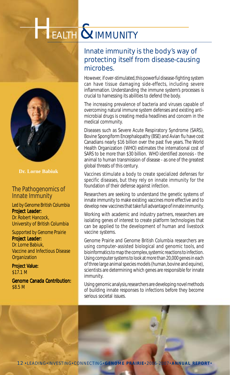# EALTH & IMMUNITY



**Dr. Lorne Babiuk**

### The Pathogenomics of Innate Immunity

*Led by Genome British Columbia* Project Leader:

Dr. Robert Hancock, University of British Columbia

*Supported by Genome Prairie* Project Leader:

Dr. Lorne Babiuk, Vaccine and Infectious Disease **Organization** 

Project Value: \$17.1 M

**Genome Canada Contribution:** \$8.5 M

# Innate immunity is the body's way of protecting itself from disease-causing microbes.

However, if over-stimulated, this powerful disease-fighting system can have tissue damaging side-effects, including severe inflammation. Understanding the immune system's processes is crucial to harnessing its abilities to defend the body.

The increasing prevalence of bacteria and viruses capable of overcoming natural immune system defenses and existing antimicrobial drugs is creating media headlines and concern in the medical community.

Diseases such as Severe Acute Respiratory Syndrome (SARS), Bovine Spongiform Encephalopathy (BSE) and Avian flu have cost Canadians nearly \$16 billion over the past five years. The World Health Organization (WHO) estimates the international cost of SARS to be more than \$30 billion. WHO identified *zoonosis* - the animal to human transmission of disease - as one of the greatest global threats of this century.

Vaccines stimulate a body to create specialized defenses for specific diseases, but they rely on innate immunity for the foundation of their defense against infection.

Researchers are seeking to understand the genetic systems of innate immunity to make existing vaccines more effective and to develop new vaccines that take full advantage of innate immunity.

Working with academic and industry partners, researchers are isolating genes of interest to create platform technologies that can be applied to the development of human and livestock vaccine systems.

Genome Prairie and Genome British Columbia researchers are using computer-assisted biological and genomic tools, and bioinformatics to map the complex, systemic reactions to infection. Using computer systems to look at more than 20,000 genes in each of three large animal species models (human, bovine and equine), scientists are determining which genes are responsible for innate immunity.

Using genomic analysis, researchers are developing novel methods of building innate responses to infections before they become serious societal issues.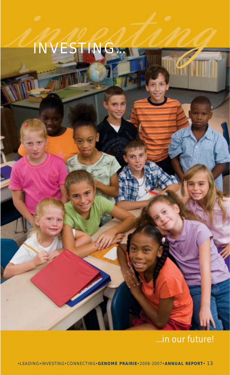# INVES

**INVESTING** 

# *...in our future!*

 $\sqrt{2}$ 

!LEADING!INVESTING!CONNECTING!**GENOME PRAIRIE**!2006-2007!**ANNUAL REPORT**! 13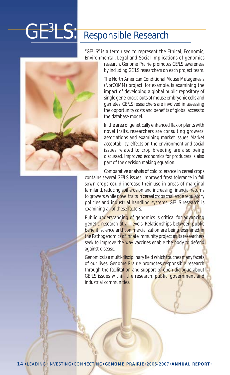# **GE3LS:**

# Responsible Research

"GE3 LS" is a term used to represent the Ethical, Economic, Environmental, Legal and Social implications of genomics



research. Genome Prairie promotes GE3 LS awareness by including GE3 LS researchers on each project team.

The North American Conditional Mouse Mutagenesis (NorCOMM) project, for example, is examining the impact of developing a global public repository of single gene knock-outs of mouse embryonic cells and gametes. GE<sup>3</sup>LS researchers are involved in assessing the opportunity costs and benefits of global access to the database model.

In the area of genetically enhanced flax or plants with novel traits, researchers are consulting growers' associations and examining market issues. Market acceptability, effects on the environment and social issues related to crop breeding are also being discussed. Improved economics for producers is also part of the decision making equation.

Comparative analysis of cold tolerance in cereal crops contains several GE<sup>3</sup>LS issues. Improved frost tolerance in fall sown crops could increase their use in areas of marginal farmland, reducing soil erosion and increasing financial returns to growers, while novel traits in cereal crops challenge regulatory policies and industrial handling systems. GE<sup>3</sup>LS research is examining all of these factors.

Public understanding of genomics is critical for advancing genetic research at all levels. Relationships between public benefit, science and commercialization are being examined in the Pathogenomics of Innate Immunity project as its researchers seek to improve the way vaccines enable the body to defend against disease.

Genomics is a multi-disciplinary field which touches many facets of our lives. Genome Prairie promotes responsible research through the facilitation and support of open dialogue about GE<sup>3</sup>LS issues withi<mark>n the</mark> research, public, government and industrial communities.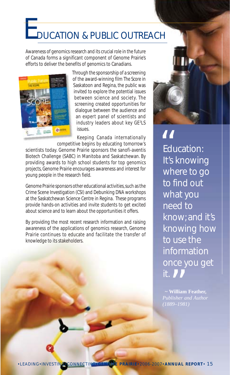# **E**DUCATION & PUBLIC OUTREACH

Awareness of genomics research and its crucial role in the future of Canada forms a significant component of Genome Prairie's efforts to deliver the benefits of genomics to Canadians.



Through the sponsorship of a screening of the award-winning film *The Score* in Saskatoon and Regina, the public was invited to explore the potential issues between science and society. The screening created opportunities for dialogue between the audience and an expert panel of scientists and industry leaders about key GE<sup>3</sup>LS issues.

Keeping Canada internationally competitive begins by educating tomorrow's

scientists today. Genome Prairie sponsors the sanofi-aventis Biotech Challenge (SABC) in Manitoba and Saskatchewan. By providing awards to high school students for top genomics projects, Genome Prairie encourages awareness and interest for young people in the research field.

Genome Prairie sponsors other educational activities, such as the Crime Scene Investigation (CSI) and Debunking DNA workshops at the Saskatchewan Science Centre in Regina. These programs provide hands-on activities and invite students to get excited about science and to learn about the opportunities it offers.

By providing the most recent research information and raising awareness of the applications of genomics research, Genome Prairie continues to educate and facilitate the transfer of knowledge to its stakeholders.



Education: It's knowing where to go to find out what you need to know; and it's knowing how to use the information once you get it. 66<br>Educa<br>It's kn

 $\begin{array}{c} \bigcirc \\ \bigcirc \\ \text{William Fea} \\ \text{llisher and A} \end{array}$ **~ William Feather,** *(1889–1981)*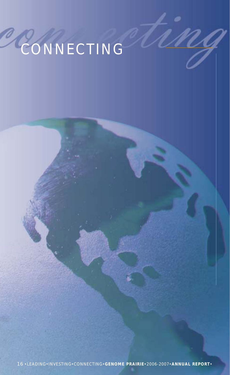# **CONNECTING**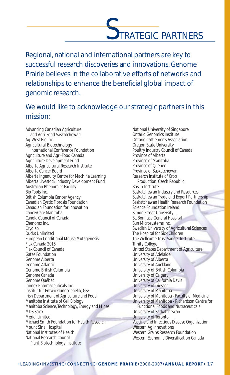# TRATEGIC PARTNERS

Regional, national and international partners are key to successful research discoveries and innovations. Genome Prairie believes in the collaborative efforts of networks and relationships to enhance the beneficial global impact of genomic research.

# We would like to acknowledge our strategic partners in this mission:

Advancing Canadian Agriculture and Agri-Food Saskatchewan Ag-West Bio Inc. Agricultural Biotechnology International Conference Foundation Agriculture and Agri-Food Canada Agriculture Development Fund Alberta Agricultural Research Institute Alberta Cancer Board Alberta Ingenuity Centre for Machine Learning Alberta Livestock Industry Development Fund Australian Phenomics Facility Bio Tools Inc. British Columbia Cancer Agency Canadian Cystic Fibrosis Foundation Canadian Foundation for Innovation CancerCare Manitoba Canola Council of Canada Chenomx Inc. Cryolab Ducks Unlimited European Conditional Mouse Mutagenesis Flax Canada 2015 Flax Council of Canada Gates Foundation Genome Alberta Genome Atlantic Genome British Columbia Genome Canada Genome Québec Inimex Pharmaceuticals Inc. Institut für Entwicklungsgenetik, GSF Irish Department of Agriculture and Food Manitoba Institute of Cell Biology Manitoba Science, Technology, Energy and Mines MDS Sciex Merial Limited Michael Smith Foundation for Health Research Mount Sinai Hospital National Institutes of Health National Research Council - Plant Biotechnology Institute

National University of Singapore Ontario Genomics Institute Ontario Cattlemen's Association Oregon State University Poultry Industry Council of Canada Province of Alberta Province of Manitoba Province of Québec Province of Saskatchewan Research Institute of Crop Production, Czech Republic Roslin Institute Saskatchewan Industry and Resources Saskatchewan Trade and Export Partnership Saskatchewan Health Research Foundation Science Foundation Ireland Simon Fraser University St. Boniface General Hospital Sun Microsystems Inc. Swedish University of Agricultural Sciences The Hospital for Sick Children The Wellcome Trust Sanger Institute Trinity College United States Department of Agriculture University of Adelaide University of Alberta University of Auckland University of British Columbia University of Calgary University of California Davis University of Giessen University of Manitoba University of Manitoba - Faculty of Medicine University of Manitoba - Richardson Centre for Functional Foods and Nutraceuticals University of Saskatchewan University of Toronto Vaccine and Infectious Disease Organization Western Ag Innovations Western Grains Research Foundation Western Economic Diversification Canada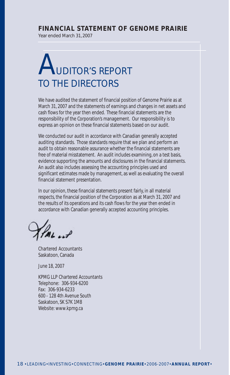### **FINANCIAL STATEMENT OF GENOME PRAIRIE**

Year ended March 31, 2007

# **JDITOR'S REPORT** TO THE DIRECTORS

We have audited the statement of financial position of Genome Prairie as at March 31, 2007 and the statements of earnings and changes in net assets and cash flows for the year then ended. These financial statements are the responsibility of the Corporation's management. Our responsibility is to express an opinion on these financial statements based on our audit.

We conducted our audit in accordance with Canadian generally accepted auditing standards. Those standards require that we plan and perform an audit to obtain reasonable assurance whether the financial statements are free of material misstatement. An audit includes examining, on a test basis, evidence supporting the amounts and disclosures in the financial statements. An audit also includes assessing the accounting principles used and significant estimates made by management, as well as evaluating the overall financial statement presentation.

In our opinion, these financial statements present fairly, in all material respects, the financial position of the Corporation as at March 31, 2007 and the results of its operations and its cash flows for the year then ended in accordance with Canadian generally accepted accounting principles.

Chartered Accountants Saskatoon, Canada

June 18, 2007

KPMG LLP Chartered Accountants Telephone: 306-934-6200 Fax: 306-934-6233 600 - 128 4th Avenue South Saskatoon, SK S7K 1M8 Website: www.kpmg.ca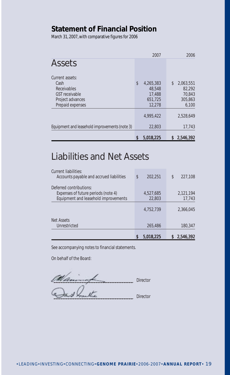### **Statement of Financial Position**

March 31, 2007, with comparative figures for 2006

|                                               | 2007            |    | 2006      |
|-----------------------------------------------|-----------------|----|-----------|
| Assets                                        |                 |    |           |
| Current assets:                               |                 |    |           |
| Cash                                          | \$<br>4,265,383 | \$ | 2,063,551 |
| Receivables                                   | 48,548          |    | 82,292    |
| <b>GST</b> receivable                         | 17,488          |    | 70.843    |
| Project advances                              | 651,725         |    | 305,863   |
| Prepaid expenses                              | 12,278          |    | 6,100     |
|                                               | 4.995.422       |    | 2.528.649 |
| Equipment and leasehold improvements (note 3) | 22,803          |    | 17,743    |
|                                               | 5,018,225       | S  | 2,546,392 |

# Liabilities and Net Assets

|                                                                                                        | 5,018,225           | 2,546,392           |
|--------------------------------------------------------------------------------------------------------|---------------------|---------------------|
| Net Assets<br>Unrestricted                                                                             | 265,486             | 180,347             |
|                                                                                                        | 4.752.739           | 2.366.045           |
| Deferred contributions:<br>Expenses of future periods (note 4)<br>Equipment and leasehold improvements | 4,527,685<br>22,803 | 2,121,194<br>17,743 |
| Current liabilities:<br>Accounts payable and accrued liabilities                                       | \$<br>202.251       | \$<br>227,108       |

See accompanying notes to financial statements.

On behalf of the Board:

 $\overline{\mathcal{L}}$ Director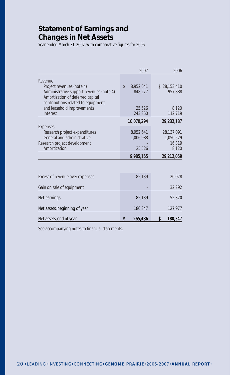# **Statement of Earnings and Changes in Net Assets**

Year ended March 31, 2007, with comparative figures for 2006

|                                                                                                                  | 2007                       | 2006                              |
|------------------------------------------------------------------------------------------------------------------|----------------------------|-----------------------------------|
| Revenue:<br>Project revenues (note 4)<br>Administrative support revenues (note 4)                                | \$<br>8,952,641<br>848,277 | \$28,153,410<br>957,888           |
| Amortization of deferred capital<br>contributions related to equipment<br>and leasehold improvements<br>Interest | 25,526<br>243,850          | 8,120<br>112,719                  |
|                                                                                                                  | 10,070,294                 | 29,232,137                        |
| Expenses:<br>Research project expenditures<br>General and administrative<br>Research project development         | 8,952,641<br>1,006,988     | 28,137,091<br>1,050,529<br>16,319 |
| Amortization                                                                                                     | 25,526                     | 8,120                             |
|                                                                                                                  | 9,985,155                  | 29,212,059                        |
|                                                                                                                  |                            |                                   |
| Excess of revenue over expenses                                                                                  | 85,139                     | 20,078                            |
| Gain on sale of equipment                                                                                        |                            | 32,292                            |
| Net earnings                                                                                                     | 85,139                     | 52,370                            |
| Net assets, beginning of year                                                                                    | 180,347                    | 127,977                           |
| Net assets, end of year                                                                                          | S<br>265,486               | 180,347<br>\$                     |

See accompanying notes to financial statements.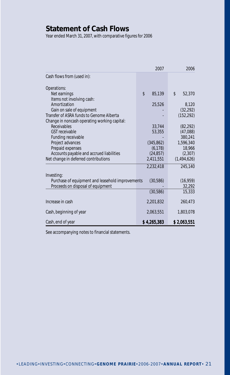# **Statement of Cash Flows**

Year ended March 31, 2007, with comparative figures for 2006

|                                                  | 2007         | 2006                |
|--------------------------------------------------|--------------|---------------------|
| Cash flows from (used in):                       |              |                     |
|                                                  |              |                     |
| Operations:                                      |              |                     |
| Net earnings                                     | \$<br>85,139 | \$<br>52,370        |
| Items not involving cash:                        |              |                     |
| Amortization                                     | 25,526       | 8,120               |
| Gain on sale of equipment                        |              | (32, 292)           |
| Transfer of ASRA funds to Genome Alberta         |              | (152, 292)          |
| Change in noncash operating working capital:     |              |                     |
| Receivables                                      | 33,744       | (82, 292)           |
| GST receivable                                   | 53,355       | (47,088)            |
| Funding receivable                               |              | 380.241             |
| Project advances                                 | (345, 862)   | 1,596,340           |
| Prepaid expenses                                 | (6, 178)     | 18,966              |
| Accounts payable and accrued liabilities         | (24, 857)    | (2, 307)            |
| Net change in deferred contributions             | 2,411,551    | (1,494,626)         |
|                                                  | 2,232,418    | 245,140             |
|                                                  |              |                     |
| Investing:                                       |              |                     |
| Purchase of equipment and leasehold improvements | (30,586)     | (16, 959)<br>32,292 |
| Proceeds on disposal of equipment                | (30, 586)    | 15,333              |
|                                                  |              |                     |
| Increase in cash                                 | 2,201,832    | 260,473             |
|                                                  |              |                     |
| Cash, beginning of year                          | 2,063,551    | 1,803,078           |
|                                                  |              |                     |
| Cash, end of year                                | \$4,265,383  | \$2,063,551         |

See accompanying notes to financial statements.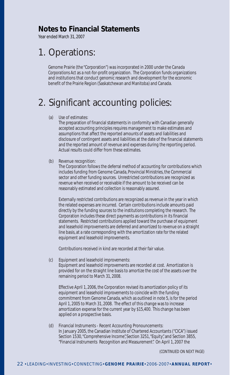### **Notes to Financial Statements**

Year ended March 31, 2007

# 1. Operations:

Genome Prairie (the "Corporation") was incorporated in 2000 under the *Canada Corporations Act* as a not-for-profit organization. The Corporation funds organizations and institutions that conduct genomic research and development for the economic benefit of the Prairie Region (Saskatchewan and Manitoba) and Canada.

# 2. Significant accounting policies:

### (a) Use of estimates:

The preparation of financial statements in conformity with Canadian generally accepted accounting principles requires management to make estimates and assumptions that affect the reported amounts of assets and liabilities and disclosure of contingent assets and liabilities at the date of the financial statements and the reported amount of revenue and expenses during the reporting period. Actual results could differ from these estimates.

### (b) Revenue recognition:

The Corporation follows the deferral method of accounting for contributions which includes funding from Genome Canada, Provincial Ministries, the Commercial sector and other funding sources. Unrestricted contributions are recognized as revenue when received or receivable if the amount to be received can be reasonably estimated and collection is reasonably assured.

Externally restricted contributions are recognized as revenue in the year in which the related expenses are incurred. Certain contributions include amounts paid directly by the funding sources to the institutions completing the research. The Corporation includes these direct payments as contributions in its financial statements. Restricted contributions applied toward the purchase of equipment and leasehold improvements are deferred and amortized to revenue on a straight line basis, at a rate corresponding with the amortization rate for the related equipment and leasehold improvements.

Contributions received in kind are recorded at their fair value.

(c) Equipment and leasehold improvements:

Equipment and leasehold improvements are recorded at cost. Amortization is provided for on the straight line basis to amortize the cost of the assets over the remaining period to March 31, 2008.

Effective April 1, 2006, the Corporation revised its amortization policy of its equipment and leasehold improvements to coincide with the funding commitment from Genome Canada, which as outlined in note 5, is for the period April 1, 2005 to March 31, 2008. The effect of this change was to increase amortization expense for the current year by \$15,400. This change has been applied on a prospective basis.

(d) Financial Instruments - Recent Accounting Pronouncements: In January 2005, the Canadian Institute of Chartered Accountants ("CICA") issued Section 1530, "Comprehensive Income", Section 3251, "Equity", and Section 3855, "Financial Instruments Recognition and Measurement". On April 1, 2007 the

(CONTINUED ON NEXT PAGE)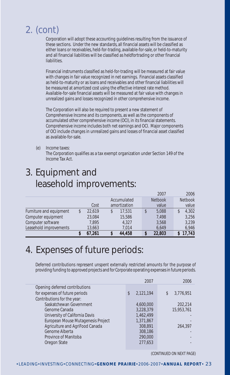# 2. (cont)

Corporation will adopt these accounting guidelines resulting from the issuance of these sections. Under the new standards, all financial assets will be classified as either loans or receivables, held-for-trading, available-for-sale, or held-to-maturity and all financial liabilities will be classified as heldfortrading or other financial liabilities.

Financial instruments classified as held-for-trading will be measured at fair value with changes in fair value recognized in net earnings. Financial assets classified as held-to-maturity or as loans and receivables and other financial liabilities will be measured at amortized cost using the effective interest rate method. Available-for-sale financial assets will be measured at fair value with changes in unrealized gains and losses recognized in other comprehensive income.

The Corporation will also be required to present a new statement of Comprehensive Income and its components, as well as the components of accumulated other comprehensive income (OCI), in its financial statements. Comprehensive income includes both net earnings and OCI. Major components of OCI include changes in unrealized gains and losses of financial asset classified as available-for-sale.

(e) Income taxes: The Corporation qualifies as a tax exempt organization under Section 149 of the Income Tax Act.

# 3. Equipment and leasehold improvements:

|                         | 67,261       | 44,458       | 22,803         | 17,743         |
|-------------------------|--------------|--------------|----------------|----------------|
| Leasehold improvements  | 13,663       | 7.014        | 6.649          | 6,946          |
| Computer software       | 7,895        | 4,327        | 3,568          | 3,239          |
| Computer equipment      | 23,084       | 15,586       | 7,498          | 3,256          |
| Furniture and equipment | \$<br>22,619 | 17,531<br>\$ | 5,088          | 4,302<br>\$    |
|                         | Cost         | amortization | value          | value          |
|                         |              | Accumulated  | <b>Netbook</b> | <b>Netbook</b> |
|                         |              |              | 2007           | 2006           |

# 4. Expenses of future periods:

Deferred contributions represent unspent externally restricted amounts for the purpose of providing funding to approved projects and for Corporate operating expenses in future periods.

|                                    | 2007           | 2006            |
|------------------------------------|----------------|-----------------|
| Opening deferred contributions     |                |                 |
| for expenses of future periods     | 2,121,194<br>S | 3,776,951<br>\$ |
| Contributions for the year:        |                |                 |
| Saskatchewan Government            | 4,600,000      | 202,214         |
| Genome Canada                      | 3,228,379      | 15,953,761      |
| University of California Davis     | 1,462,499      |                 |
| European Mouse Mutagenesis Project | 1,371,867      |                 |
| Agriculture and AgriFood Canada    | 308,891        | 264,397         |
| Genome Alberta                     | 308,186        |                 |
| Province of Manitoba               | 290,000        |                 |
| Oregon State                       | 277.653        |                 |
|                                    |                |                 |

(CONTINUED ON NEXT PAGE)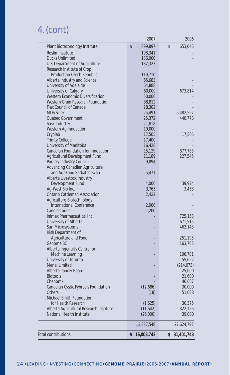# 4. (cont)

| <b>Total contributions</b>                          | 16,008,742<br>\$     | 31,401,743<br>\$   |
|-----------------------------------------------------|----------------------|--------------------|
|                                                     | 13,887,548           | 27,624,792         |
|                                                     |                      |                    |
| National Health Institute                           | (26,000)             | 39,000             |
| Alberta Agricultural Research Institute             | (1,625)<br>(11, 642) | 30,375<br>322,126  |
| Michael Smith Foundation<br>for Health Research     |                      |                    |
| <b>Others</b>                                       | (18)                 | 51,688             |
| Canadian Cystic Fybrosis Foundation                 | (12,686)             | 30,000             |
| Chenomx                                             |                      | 46,067             |
| <b>Biotools</b>                                     |                      | 21,600             |
| Alberta Cancer Board                                |                      | 25,000             |
| <b>Merial Limited</b>                               |                      | (214, 073)         |
| University of Toronto                               |                      | 55,622             |
| Machine Learning                                    |                      | 106,781            |
| Alberta Ingenuity Centre for                        |                      |                    |
| Genome BC                                           |                      | 163,763            |
| Agriculture and Food                                |                      | 251,195            |
| Irish Department of                                 |                      |                    |
| Sun Microsystems                                    |                      | 671,515<br>462,143 |
| Inimex Pharmaceutical Inc.<br>University of Alberta |                      | 725,158            |
| Canola Council                                      | 1,200                |                    |
| <b>International Conference</b>                     | 2,000                |                    |
| Agriculture Biotechnology                           |                      |                    |
| <b>Ontario Cattleman Association</b>                | 2,422                |                    |
| Ag-West Bio Inc.                                    | 3,765                | 3,458              |
| Development Fund                                    | 4,000                | 39,974             |
| Alberta Livestock Industry                          |                      |                    |
| and AgriFood Saskatchewan                           | 5,471                |                    |
| <b>Advancing Canadian Agriculture</b>               |                      |                    |
| Poultry Industry Council                            | 9,894                |                    |
| Agricultural Development Fund                       | 11,189               | 227,545            |
| <b>Canadian Foundation for Innovation</b>           | 15,129               | 877,783            |
| University of Manitoba                              | 16,428               |                    |
| <b>Trinity College</b>                              | 17,400               |                    |
| Cryolab                                             | 17,505               | 17,505             |
| Sask Industry<br>Western Ag Innovation              | 19,000               |                    |
| Quebec Government                                   | 25,372<br>21,818     | 440,778            |
| <b>MDS Sciex</b>                                    | 25,491               | 5,482,557          |
| Flax Council of Canada                              | 28,302               |                    |
| Western Grain Research Foundation                   | 38,812               |                    |
| Western Economic Diversification                    | 50,000               |                    |
| University of Calgary                               | 60,000               | 673,814            |
| University of Adelaide                              | 64,888               |                    |
| Alberta Industry and Science                        | 65,683               |                    |
| Production Czech Republic                           | 119,710              |                    |
| Research Institute of Crop                          |                      |                    |
| U.S. Department of Agriculture                      | 182,327              |                    |
| Roslin Institute<br><b>Ducks Unlimited</b>          | 198,341<br>186,000   |                    |
|                                                     |                      |                    |
| Plant Biotechnology Institute                       | \$<br>899,897        | \$<br>653,046      |
|                                                     | 2007                 | 2006               |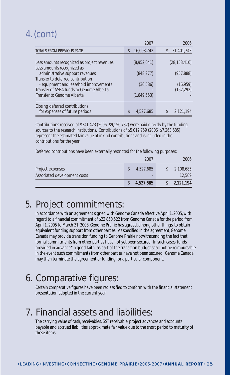# 4. (cont)

|                                                                                    | 2007             | 2006                    |
|------------------------------------------------------------------------------------|------------------|-------------------------|
| TOTALS FROM PREVIOUS PAGE                                                          | 16,008,742<br>\$ | 31,401,743<br>\$        |
| Less amounts recognized as project revenues<br>Less amounts recognized as          | (8,952,641)      | (28, 153, 410)          |
| administrative support revenues<br>Transfer to deferred contribution               | (848, 277)       | (957, 888)              |
| - equipment and leasehold improvements<br>Transfer of ASRA funds to Genome Alberta | (30, 586)        | (16, 959)<br>(152, 292) |
| Transfer to Genome Alberta                                                         | (1,649,553)      |                         |
| Closing deferred contributions<br>for expenses of future periods                   | \$<br>4.527.685  | 2,121,194               |

Contributions received of \$341,423 (2006 \$9,150,737) were paid directly by the funding sources to the research institutions. Contributions of \$5,012,759 (2006 \$7,263,685) represent the estimated fair value of inkind contributions and is included in the contributions for the year.

Deferred contributions have been externally restricted for the following purposes:

|                              | 4,527,685 | 2,121,194 |
|------------------------------|-----------|-----------|
| Associated development costs |           | 12.509    |
| Project expenses             | 4.527.685 | 2,108,685 |
|                              | 2007      | 2006      |

# 5. Project commitments:

In accordance with an agreement signed with Genome Canada effective April 1, 2005, with regard to a financial commitment of \$22,850,522 from Genome Canada for the period from April 1, 2005 to March 31, 2008, Genome Prairie has agreed, among other things, to obtain equivalent funding support from other parties. As specified in the agreement, Genome Canada may provide transition funding to Genome Prairie notwithstanding the fact that formal commitments from other parties have not yet been secured. In such cases, funds provided in advance "in good faith" as part of the transition budget shall not be reimbursable in the event such commitments from other parties have not been secured. Genome Canada may then terminate the agreement or funding for a particular component.

# 6. Comparative figures:

Certain comparative figures have been reclassified to conform with the financial statement presentation adopted in the current year.

# 7. Financial assets and liabilities:

The carrying value of cash, receivables, GST receivable, project advances and accounts payable and accrued liabilities approximate fair value due to the short period to maturity of these items.